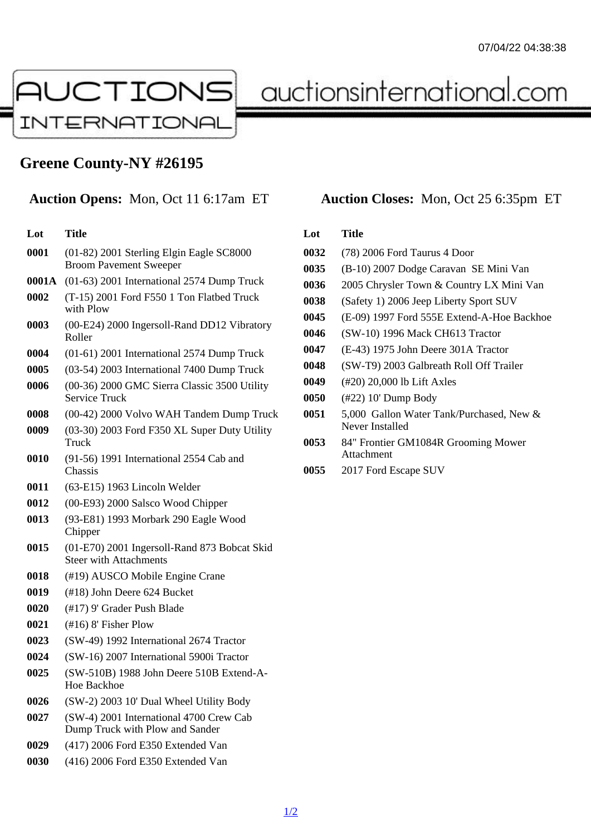# Greene County-NY #26195

## Auction Opens: Mon, Oct 11 6:17am ET Auction Closes: Mon, Oct 25 6:35pm ET

#### Lot Title (01-82) 2001 Sterling Elgin Eagle SC8000 Broom Pavement Sweeper 0001A (01-63) 2001 International 2574 Dump Truck (T-15) 2001 Ford F550 1 Ton Flatbed Truck with Plow (00-E24) 2000 Ingersoll-Rand DD12 Vibratory Roller (01-61) 2001 International 2574 Dump Truck (03-54) 2003 International 7400 Dump Truck (00-36) 2000 GMC Sierra Classic 3500 Utility Service Truck (00-42) 2000 Volvo WAH Tandem Dump Truck (03-30) 2003 Ford F350 XL Super Duty Utility **Truck**  (91-56) 1991 International 2554 Cab and Chassis (63-E15) 1963 Lincoln Welder (00-E93) 2000 Salsco Wood Chipper (93-E81) 1993 Morbark 290 Eagle Wood **Chipper**  (01-E70) 2001 Ingersoll-Rand 873 Bobcat Skid Steer with Attachments (#19) AUSCO Mobile Engine Crane (#18) John Deere 624 Bucket (#17) 9' Grader Push Blade (#16) 8' Fisher Plow (SW-49) 1992 International 2674 Tractor (SW-16) 2007 International 5900i Tractor (SW-510B) 1988 John Deere 510B Extend-A-Hoe Backhoe (SW-2) 2003 10' Dual Wheel Utility Body (SW-4) 2001 International 4700 Crew Cab Dump Truck with Plow and Sander (417) 2006 Ford E350 Extended Van

(416) 2006 Ford E350 Extended Van

### Lot Title

- (78) 2006 Ford Taurus 4 Door
- (B-10) 2007 Dodge Caravan SE Mini Van
- 2005 Chrysler Town & Country LX Mini Van
- (Safety 1) 2006 Jeep Liberty Sport SUV
- (E-09) 1997 Ford 555E Extend-A-Hoe Backhoe
- (SW-10) 1996 Mack CH613 Tractor
- (E-43) 1975 John Deere 301A Tractor
- (SW-T9) 2003 Galbreath Roll Off Trailer
- (#20) 20,000 lb Lift Axles
- (#22) 10' Dump Body
- 5,000 Gallon Water Tank/Purchased, New & Never Installed
- 84" Frontier GM1084R Grooming Mower **Attachment**
- 2017 Ford Escape SUV